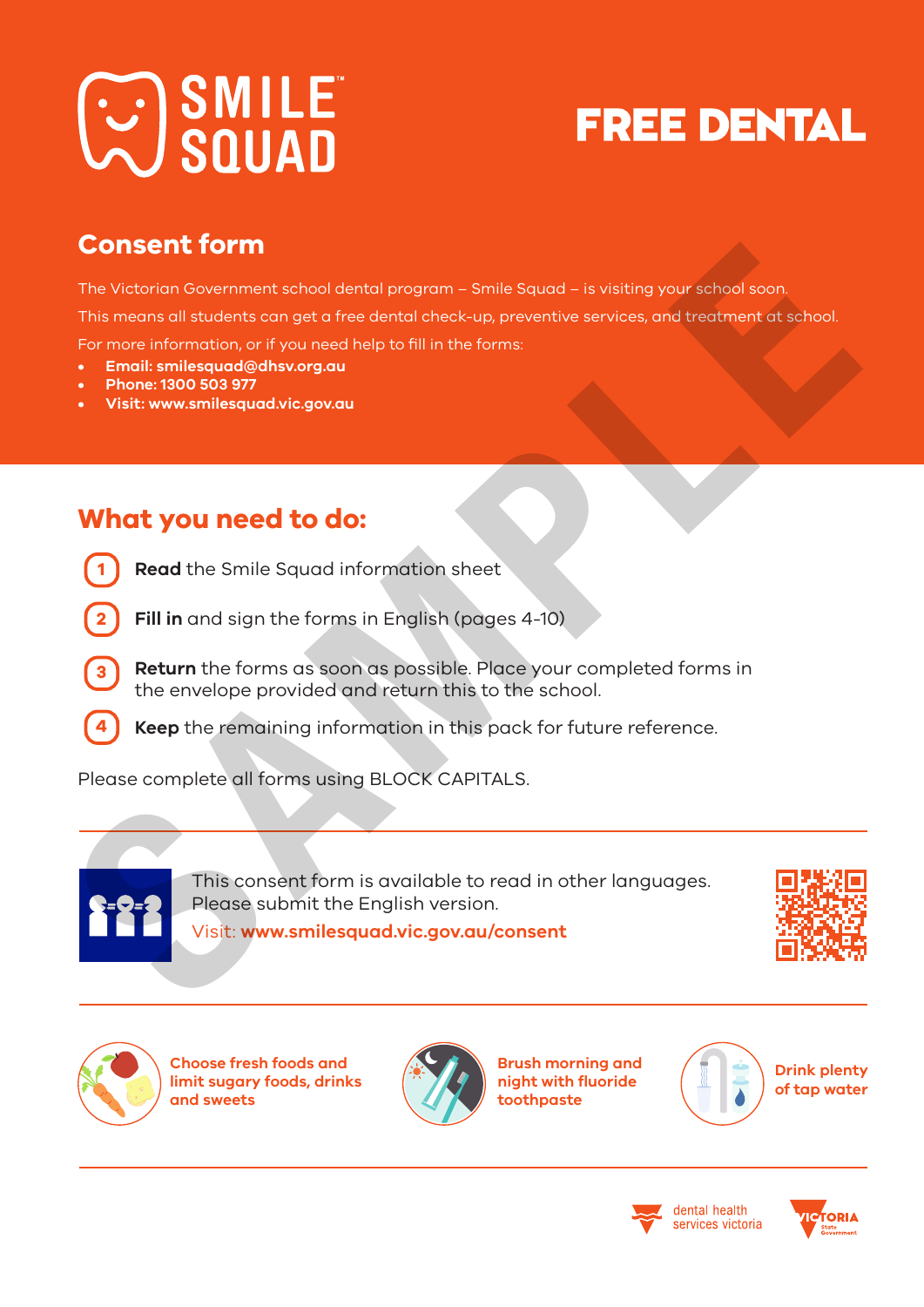

# **FREE DENTAL**

### **Consent form**

The Victorian Government school dental program – Smile Squad – is visiting your school soon.

This means all students can get a free dental check-up, preventive services, and treatment at school.

For more information, or if you need help to fill in the forms:

- **• Email: smilesquad@dhsv.org.au**
- **• Phone: 1300 503 977**
- **• Visit: www.smilesquad.vic.gov.au**

### **What you need to do:**

**1**

**2**

**3**

**4**

**Read** the Smile Squad information sheet

- **Fill in** and sign the forms in English (pages 4-10)
- **Return** the forms as soon as possible. Place your completed forms in the envelope provided and return this to the school. **SCREED AND SCREED AND SCREED AND SCREED AND SCREED TREASURE THE SCREED TREASURE THE SAMPLE THE SQUARE THE MOREOL TREASURED TREASURED THE SAMPLE TREASURED TREASURED TREASURED TREASURED TREASURED TREASURED TREASURED TREASUR** 
	- **Keep** the remaining information in this pack for future reference.

Please complete all forms using BLOCK CAPITALS.



This consent form is available to read in other languages. Please submit the English version.



Visit: **www.smilesquad.vic.gov.au/consent**



**Choose fresh foods and limit sugary foods, drinks and sweets**



**Brush morning and night with fluoride toothpaste**



**Drink plenty of tap water**



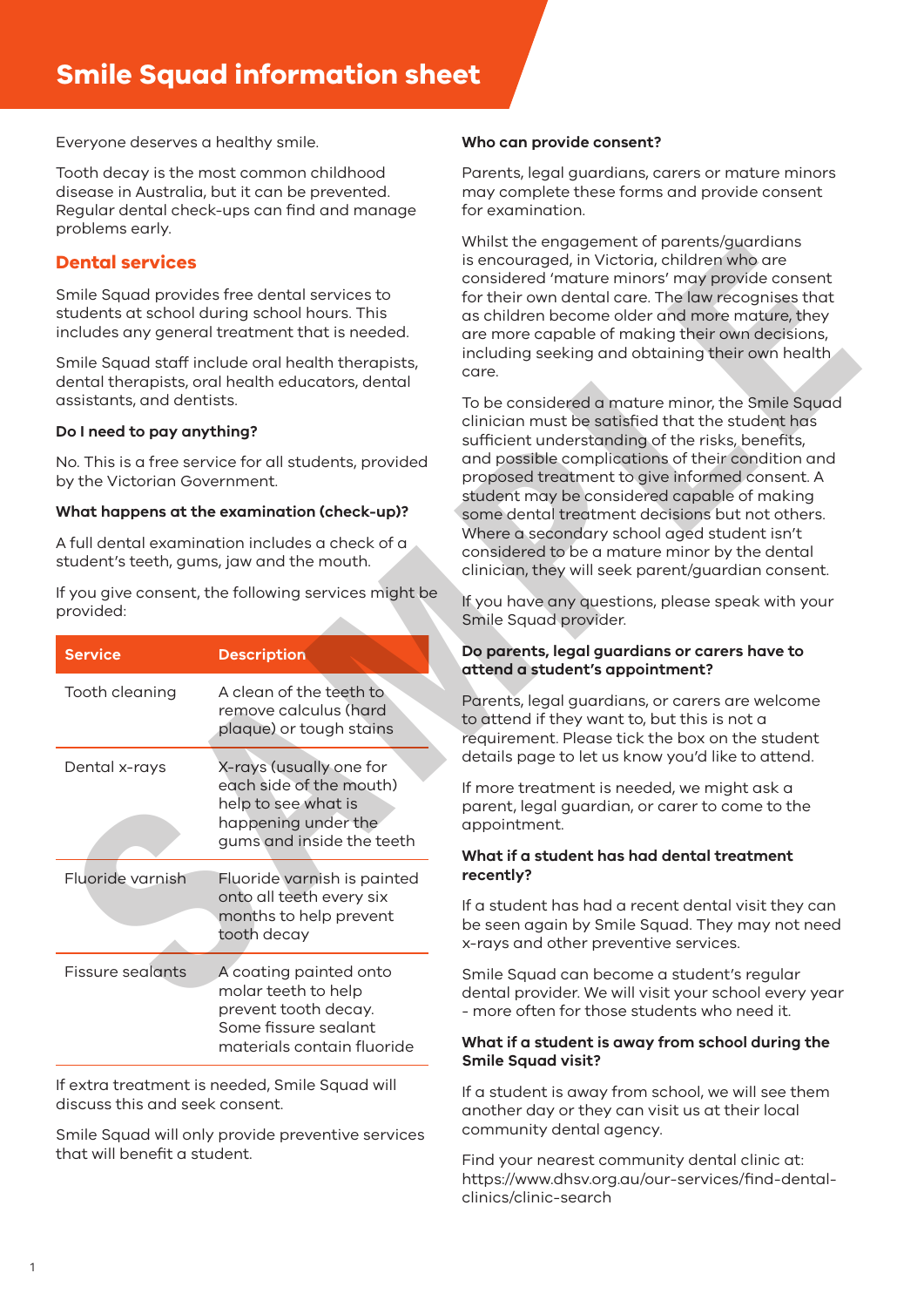Everyone deserves a healthy smile.

Tooth decay is the most common childhood disease in Australia, but it can be prevented. Regular dental check-ups can find and manage problems early.

#### **Dental services**

#### **Do I need to pay anything?**

#### **What happens at the examination (check-up)?**

| <b>Dental services</b><br>Smile Squad provides free dental services to<br>students at school during school hours. This<br>includes any general treatment that is needed.<br>Smile Squad staff include oral health therapists,<br>dental therapists, oral health educators, dental<br>assistants, and dentists.<br>Do I need to pay anything?<br>No. This is a free service for all students, provided<br>by the Victorian Government.<br>What happens at the examination (check-up)?<br>A full dental examination includes a check of a<br>student's teeth, gums, jaw and the mouth.<br>If you give consent, the following services might be<br>provided: |                                                                                                                               | wrillist the engagement or parents/guaraians<br>is encouraged, in Victoria, children who are<br>considered 'mature minors' may provide consent<br>for their own dental care. The law recognises that<br>as children become older and more mature, they<br>are more capable of making their own decisions,<br>including seeking and obtaining their own health<br>care.<br>To be considered a mature minor, the Smile Squad<br>clinician must be satisfied that the student has<br>sufficient understanding of the risks, benefits,<br>and possible complications of their condition and<br>proposed treatment to give informed consent. A<br>student may be considered capable of making<br>some dental treatment decisions but not others.<br>Where a secondary school aged student isn't<br>considered to be a mature minor by the dental<br>clinician, they will seek parent/guardian consent.<br>If you have any questions, please speak with your<br>Smile Squad provider. |  |
|-----------------------------------------------------------------------------------------------------------------------------------------------------------------------------------------------------------------------------------------------------------------------------------------------------------------------------------------------------------------------------------------------------------------------------------------------------------------------------------------------------------------------------------------------------------------------------------------------------------------------------------------------------------|-------------------------------------------------------------------------------------------------------------------------------|---------------------------------------------------------------------------------------------------------------------------------------------------------------------------------------------------------------------------------------------------------------------------------------------------------------------------------------------------------------------------------------------------------------------------------------------------------------------------------------------------------------------------------------------------------------------------------------------------------------------------------------------------------------------------------------------------------------------------------------------------------------------------------------------------------------------------------------------------------------------------------------------------------------------------------------------------------------------------------|--|
| <b>Service</b>                                                                                                                                                                                                                                                                                                                                                                                                                                                                                                                                                                                                                                            | <b>Description</b>                                                                                                            | Do parents, legal guardians or carers have to<br>attend a student's appointment?                                                                                                                                                                                                                                                                                                                                                                                                                                                                                                                                                                                                                                                                                                                                                                                                                                                                                                |  |
| Tooth cleaning                                                                                                                                                                                                                                                                                                                                                                                                                                                                                                                                                                                                                                            | A clean of the teeth to<br>remove calculus (hard<br>plaque) or tough stains                                                   | Parents, legal guardians, or carers are welcome<br>to attend if they want to, but this is not a<br>requirement. Please tick the box on the student                                                                                                                                                                                                                                                                                                                                                                                                                                                                                                                                                                                                                                                                                                                                                                                                                              |  |
| Dental x-rays                                                                                                                                                                                                                                                                                                                                                                                                                                                                                                                                                                                                                                             | X-rays (usually one for<br>each side of the mouth)<br>help to see what is<br>happening under the<br>gums and inside the teeth | details page to let us know you'd like to attend.<br>If more treatment is needed, we might ask a<br>parent, legal guardian, or carer to come to the<br>appointment.                                                                                                                                                                                                                                                                                                                                                                                                                                                                                                                                                                                                                                                                                                                                                                                                             |  |
| Fluoride varnish                                                                                                                                                                                                                                                                                                                                                                                                                                                                                                                                                                                                                                          | Fluoride varnish is painted                                                                                                   | What if a student has had dental treatment<br>recently?                                                                                                                                                                                                                                                                                                                                                                                                                                                                                                                                                                                                                                                                                                                                                                                                                                                                                                                         |  |
|                                                                                                                                                                                                                                                                                                                                                                                                                                                                                                                                                                                                                                                           | onto all teeth every six<br>months to help prevent<br>tooth decay                                                             | If a student has had a recent dental visit they can<br>be seen again by Smile Squad. They may not need<br>x-rays and other preventive services.                                                                                                                                                                                                                                                                                                                                                                                                                                                                                                                                                                                                                                                                                                                                                                                                                                 |  |
| Fissure sealants<br>A coating painted onto<br>molar teeth to help<br>prevent tooth decay.                                                                                                                                                                                                                                                                                                                                                                                                                                                                                                                                                                 |                                                                                                                               | Smile Squad can become a student's regular<br>dental provider. We will visit your school every year<br>- more often for those students who need it.                                                                                                                                                                                                                                                                                                                                                                                                                                                                                                                                                                                                                                                                                                                                                                                                                             |  |
|                                                                                                                                                                                                                                                                                                                                                                                                                                                                                                                                                                                                                                                           | Some fissure sealant<br>materials contain fluoride                                                                            | What if a student is away from school during the<br>Smile Squad vicit?                                                                                                                                                                                                                                                                                                                                                                                                                                                                                                                                                                                                                                                                                                                                                                                                                                                                                                          |  |

If extra treatment is needed, Smile Squad will discuss this and seek consent.

Smile Squad will only provide preventive services that will benefit a student.

#### **Who can provide consent?**

Parents, legal guardians, carers or mature minors may complete these forms and provide consent for examination.

Whilst the engagement of parents/guardians is encouraged, in Victoria, children who are considered 'mature minors' may provide consent for their own dental care. The law recognises that as children become older and more mature, they are more capable of making their own decisions, including seeking and obtaining their own health care.

#### **Do parents, legal guardians or carers have to attend a student's appointment?**

#### **What if a student has had dental treatment recently?**

#### **What if a student is away from school during the Smile Squad visit?**

If a student is away from school, we will see them another day or they can visit us at their local community dental agency.

Find your nearest community dental clinic at: https://www.dhsv.org.au/our-services/find-dentalclinics/clinic-search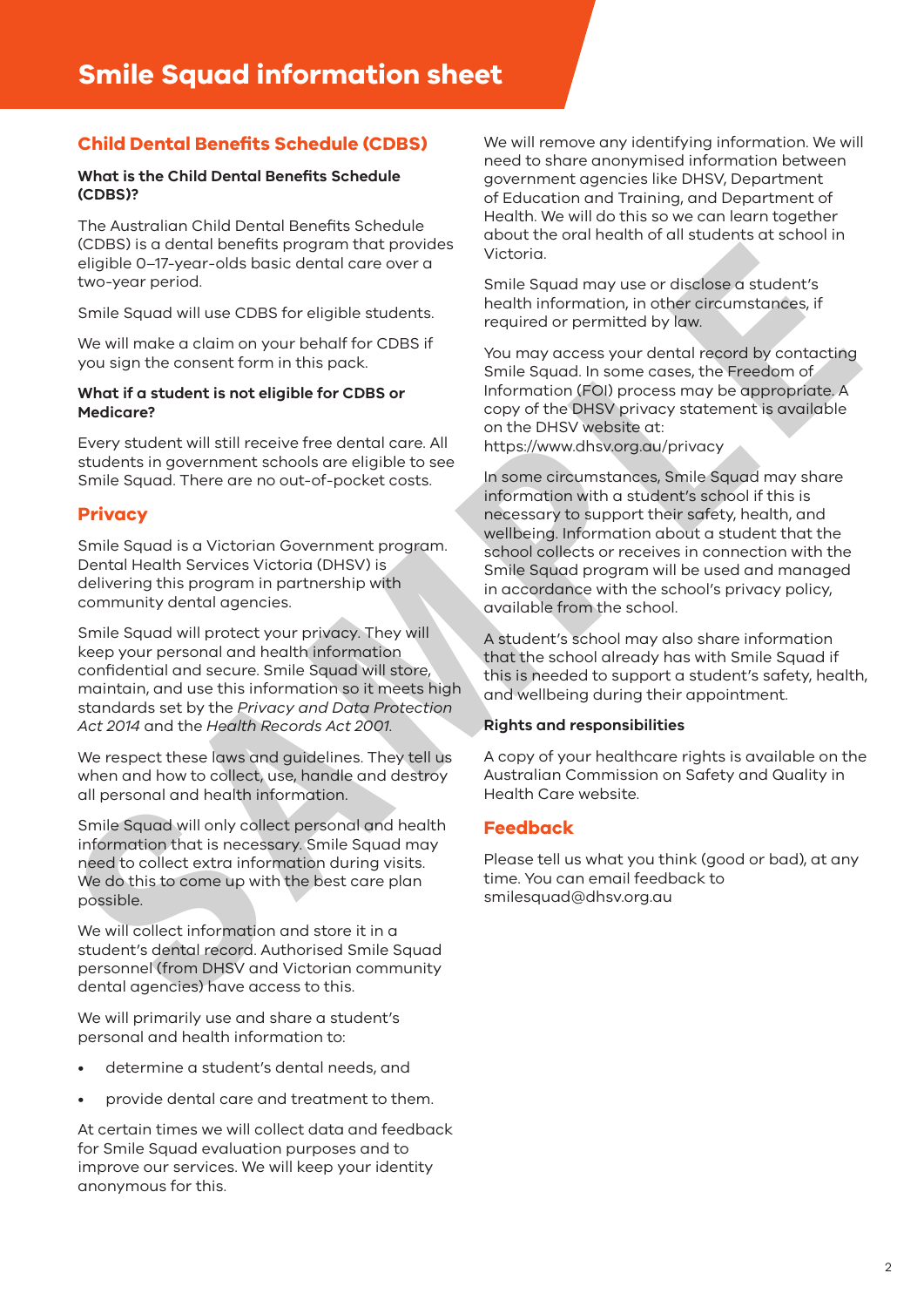#### **Child Dental Benefits Schedule (CDBS)**

#### **What is the Child Dental Benefits Schedule (CDBS)?**

The Australian Child Dental Benefits Schedule (CDBS) is a dental benefits program that provides eligible 0–17-year-olds basic dental care over a two-year period.

Smile Squad will use CDBS for eligible students.

We will make a claim on your behalf for CDBS if you sign the consent form in this pack.

#### **What if a student is not eligible for CDBS or Medicare?**

Every student will still receive free dental care. All students in government schools are eligible to see Smile Squad. There are no out-of-pocket costs.

### **Privacy**

Smile Squad is a Victorian Government program. Dental Health Services Victoria (DHSV) is delivering this program in partnership with community dental agencies.

Smile Squad will protect your privacy. They will keep your personal and health information confidential and secure. Smile Squad will store, maintain, and use this information so it meets high standards set by the *Privacy and Data Protection Act 2014* and the *Health Records Act 2001*.

We respect these laws and guidelines. They tell us when and how to collect, use, handle and destroy all personal and health information.

Smile Squad will only collect personal and health information that is necessary. Smile Squad may need to collect extra information during visits. We do this to come up with the best care plan possible.

We will collect information and store it in a student's dental record. Authorised Smile Squad personnel (from DHSV and Victorian community dental agencies) have access to this.

We will primarily use and share a student's personal and health information to:

- determine a student's dental needs, and
- provide dental care and treatment to them.

At certain times we will collect data and feedback for Smile Squad evaluation purposes and to improve our services. We will keep your identity anonymous for this.

We will remove any identifying information. We will need to share anonymised information between government agencies like DHSV, Department of Education and Training, and Department of Health. We will do this so we can learn together about the oral health of all students at school in Victoria.

Smile Squad may use or disclose a student's health information, in other circumstances, if required or permitted by law.

You may access your dental record by contacting Smile Squad. In some cases, the Freedom of Information (FOI) process may be appropriate. A copy of the DHSV privacy statement is available on the DHSV website at: https://www.dhsv.org.au/privacy

In some circumstances, Smile Squad may share information with a student's school if this is necessary to support their safety, health, and wellbeing. Information about a student that the school collects or receives in connection with the Smile Squad program will be used and managed in accordance with the school's privacy policy, available from the school. CUSSI as a extenta temperature proportion to the same of the same of the same of the same of the same of the same of the same of the same of the same of the same of the same of the same of the same of the same of the same

A student's school may also share information that the school already has with Smile Squad if this is needed to support a student's safety, health, and wellbeing during their appointment.

#### **Rights and responsibilities**

A copy of your healthcare rights is available on the Australian Commission on Safety and Quality in Health Care website.

#### **Feedback**

Please tell us what you think (good or bad), at any time. You can email feedback to smilesquad@dhsv.org.au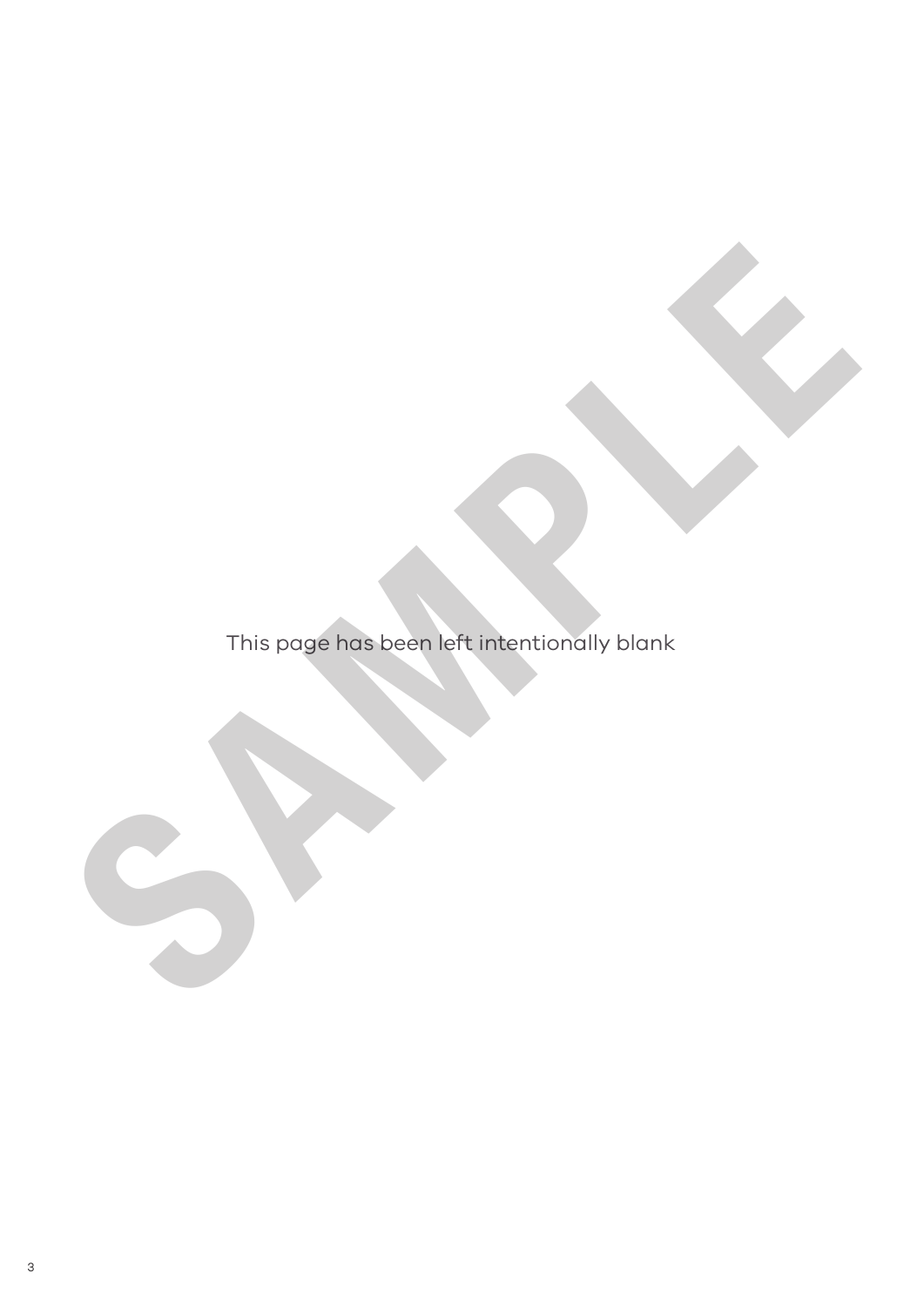This page has been left intentionally blank **SAMPLE**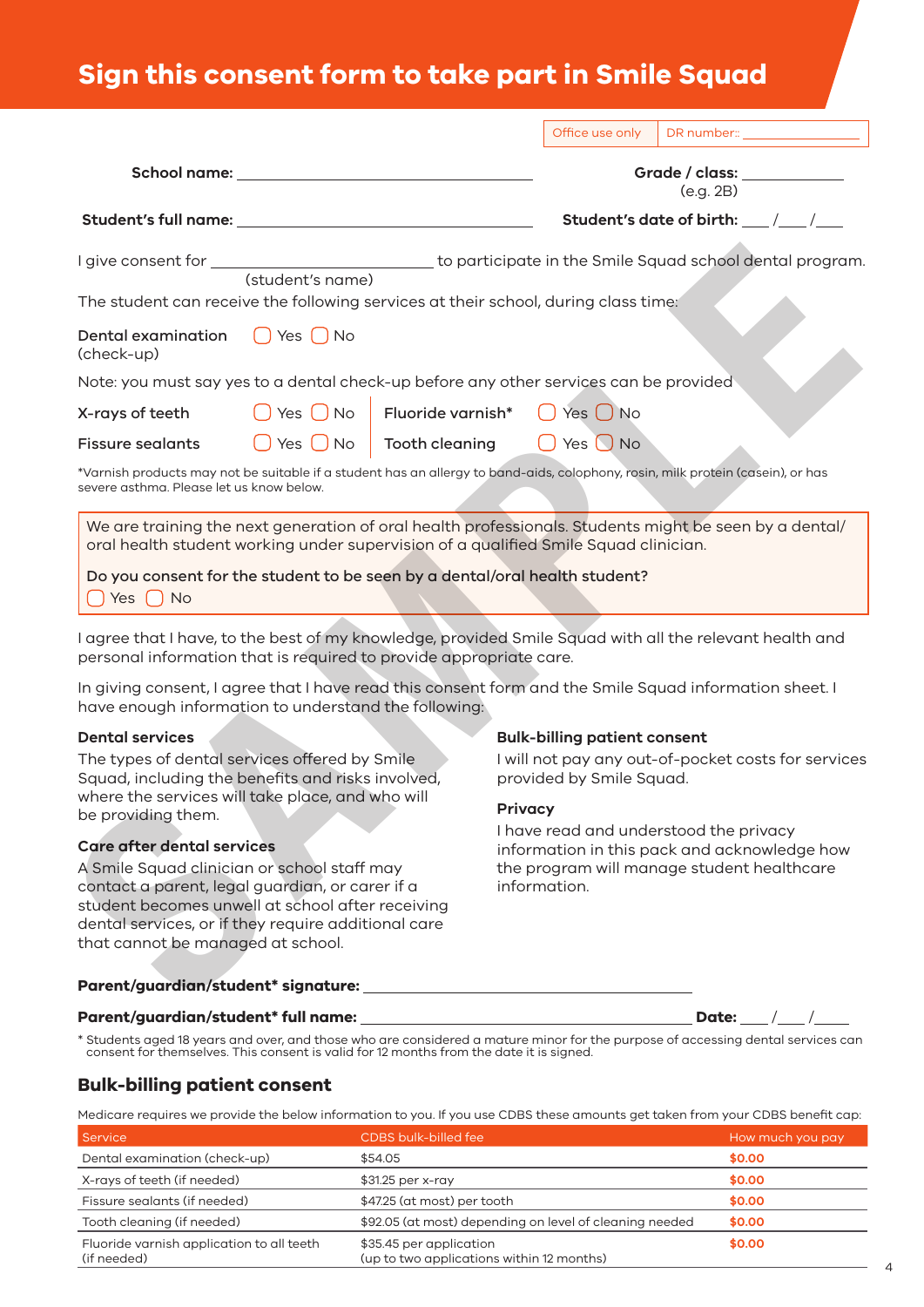### **Sign this consent form to take part in Smile Squad**

|                                                                                                                                                                                                                                                                                                          | DR number:: _<br>Office use only                                                       |
|----------------------------------------------------------------------------------------------------------------------------------------------------------------------------------------------------------------------------------------------------------------------------------------------------------|----------------------------------------------------------------------------------------|
| <b>School name:</b>                                                                                                                                                                                                                                                                                      | Grade / class:<br>(e.g. 2B)                                                            |
| <b>Student's full name:</b>                                                                                                                                                                                                                                                                              | Student's date of birth:                                                               |
| I give consent for ____<br>(student's name)                                                                                                                                                                                                                                                              | to participate in the Smile Squad school dental program.                               |
| The student can receive the following services at their school, during class time:                                                                                                                                                                                                                       |                                                                                        |
| $\bigcap$ Yes $\bigcap$ No<br>Dental examination<br>(check-up)                                                                                                                                                                                                                                           |                                                                                        |
| Note: you must say yes to a dental check-up before any other services can be provided                                                                                                                                                                                                                    |                                                                                        |
| $\bigcap$ Yes $\bigcap$ No<br>X-rays of teeth<br>Fluoride varnish*                                                                                                                                                                                                                                       | $\bigcap$ Yes $\bigcap$ No                                                             |
| $\bigcirc$ Yes $\bigcirc$ No<br><b>Fissure sealants</b><br>Tooth cleaning                                                                                                                                                                                                                                | $\bigcup$ Yes $\bigcup$ No                                                             |
| *Varnish products may not be suitable if a student has an allergy to band-aids, colophony, rosin, milk protein (casein), or has<br>severe asthma. Please let us know below.                                                                                                                              |                                                                                        |
| We are training the next generation of oral health professionals. Students might be seen by a dental/<br>oral health student working under supervision of a qualified Smile Squad clinician.<br>Do you consent for the student to be seen by a dental/oral health student?<br>$\bigcap$ Yes $\bigcap$ No |                                                                                        |
| I agree that I have, to the best of my knowledge, provided Smile Squad with all the relevant health and<br>personal information that is required to provide appropriate care.                                                                                                                            |                                                                                        |
| In giving consent, I agree that I have read this consent form and the Smile Squad information sheet. I<br>have enough information to understand the following:                                                                                                                                           |                                                                                        |
| <b>Dental services</b>                                                                                                                                                                                                                                                                                   | <b>Bulk-billing patient consent</b>                                                    |
| The types of dental services offered by Smile<br>Squad, including the benefits and risks involved,                                                                                                                                                                                                       | I will not pay any out-of-pocket costs for services<br>provided by Smile Squad.        |
| where the services will take place, and who will<br>be providing them.                                                                                                                                                                                                                                   | <b>Privacy</b>                                                                         |
| <b>Care after dental services</b>                                                                                                                                                                                                                                                                        | I have read and understood the privacy<br>information in this pack and acknowledge how |
| A Smile Squad clinician or school staff may<br>contact a parent, legal guardian, or carer if a<br>student becomes unwell at school after receiving<br>dental services, or if they require additional care<br>that cannot be managed at school.                                                           | the program will manage student healthcare<br>information.                             |
| Parent/guardian/student* signature: _                                                                                                                                                                                                                                                                    | <u> 1989 - Johann Stoff, Amerikaansk politiker († 1908)</u>                            |

#### **Dental services**

#### **Care after dental services**

#### **Bulk-billing patient consent**

#### **Privacy**

#### **Parent/guardian/student\* signature:**

#### **Parent/guardian/student\* full name: Date:** / /

\* Students aged 18 years and over, and those who are considered a mature minor for the purpose of accessing dental services can consent for themselves. This consent is valid for 12 months from the date it is signed.

#### **Bulk-billing patient consent**

Medicare requires we provide the below information to you. If you use CDBS these amounts get taken from your CDBS benefit cap:

| Service                                                  | CDBS bulk-billed fee                                                 | How much you pay |
|----------------------------------------------------------|----------------------------------------------------------------------|------------------|
| Dental examination (check-up)                            | \$54.05                                                              | \$0.00           |
| X-rays of teeth (if needed)                              | $$31.25$ per x-ray                                                   | \$0.00           |
| Fissure sealants (if needed)                             | \$47.25 (at most) per tooth                                          | \$0.00           |
| Tooth cleaning (if needed)                               | \$92.05 (at most) depending on level of cleaning needed              | \$0.00           |
| Fluoride varnish application to all teeth<br>(if needed) | \$35.45 per application<br>(up to two applications within 12 months) | \$0.00           |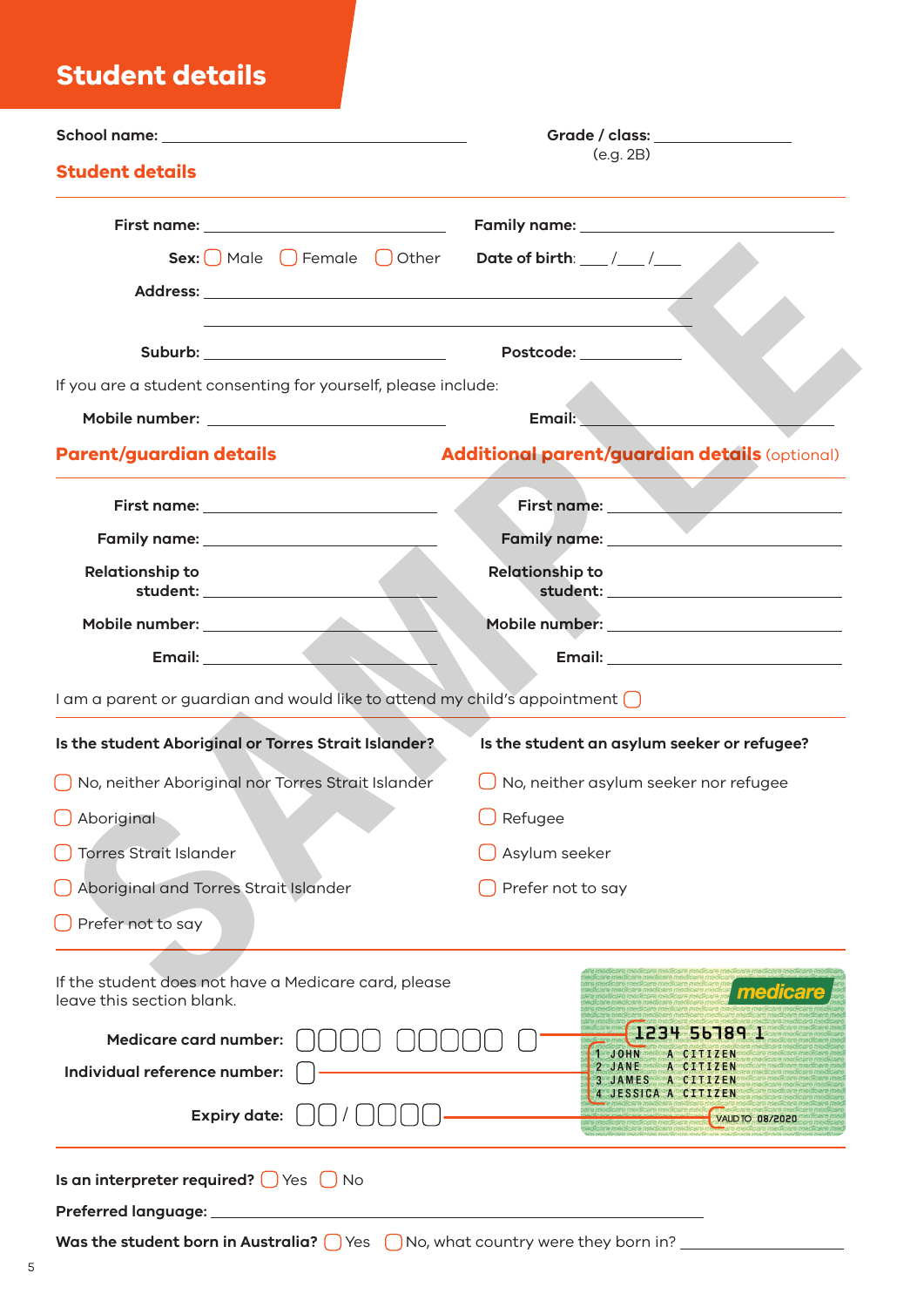### **Student details**

|                                                                                                                                                   | Grade / class: _________________<br>(e.g. 2B)                                                                                                                                                                                       |  |  |
|---------------------------------------------------------------------------------------------------------------------------------------------------|-------------------------------------------------------------------------------------------------------------------------------------------------------------------------------------------------------------------------------------|--|--|
| <b>Student details</b>                                                                                                                            |                                                                                                                                                                                                                                     |  |  |
| First name: __________________________________                                                                                                    |                                                                                                                                                                                                                                     |  |  |
| <b>Sex:</b> $\bigcap$ Male $\bigcap$ Female $\bigcap$ Other <b>Date of birth</b> : $\bigcup$ / $\bigcup$                                          |                                                                                                                                                                                                                                     |  |  |
|                                                                                                                                                   |                                                                                                                                                                                                                                     |  |  |
|                                                                                                                                                   | <u> 1989 - Johann Stoff, amerikansk politiker (* 1908)</u>                                                                                                                                                                          |  |  |
|                                                                                                                                                   | Postcode: ___________                                                                                                                                                                                                               |  |  |
| If you are a student consenting for yourself, please include:                                                                                     |                                                                                                                                                                                                                                     |  |  |
| Mobile number: ______________________________                                                                                                     | <b>Email:</b> Email: The Second Second Second Second Second Second Second Second Second Second Second Second Second Second Second Second Second Second Second Second Second Second Second Second Second Second Second Second Second |  |  |
| <b>Parent/guardian details</b>                                                                                                                    | <b>Additional parent/guardian details (optional)</b>                                                                                                                                                                                |  |  |
| First name: ______________________________                                                                                                        | First name:                                                                                                                                                                                                                         |  |  |
|                                                                                                                                                   |                                                                                                                                                                                                                                     |  |  |
| <b>Relationship to</b>                                                                                                                            | <b>Relationship to</b>                                                                                                                                                                                                              |  |  |
|                                                                                                                                                   |                                                                                                                                                                                                                                     |  |  |
|                                                                                                                                                   |                                                                                                                                                                                                                                     |  |  |
| I am a parent or guardian and would like to attend my child's appointment $\bigcap$                                                               |                                                                                                                                                                                                                                     |  |  |
| Is the student Aboriginal or Torres Strait Islander?                                                                                              | Is the student an asylum seeker or refugee?                                                                                                                                                                                         |  |  |
| ◯ No, neither Aboriginal nor Torres Strait Islander                                                                                               | No, neither asylum seeker nor refugee                                                                                                                                                                                               |  |  |
| $\bigcup$ Aboriginal                                                                                                                              | $\bigcup$ Refugee                                                                                                                                                                                                                   |  |  |
| <b>Torres Strait Islander</b>                                                                                                                     | Asylum seeker                                                                                                                                                                                                                       |  |  |
| Aboriginal and Torres Strait Islander                                                                                                             | Prefer not to say                                                                                                                                                                                                                   |  |  |
| Prefer not to say                                                                                                                                 |                                                                                                                                                                                                                                     |  |  |
| If the student does not have a Medicare card, please<br>leave this section blank.<br><b>Medicare card number:</b><br>Individual reference number: | medicare<br>1234 56789 1<br>¶ar≋JOHN:<br>Ameerik ZEN<br>2 JANE<br>AmeCintez EN<br>3 JAMES<br><b>A CITIZEN</b>                                                                                                                       |  |  |
| <b>Expiry date:</b>                                                                                                                               | 4 JESSICA A CITIZEN<br><b>VALID TO 08/2020</b>                                                                                                                                                                                      |  |  |
| Is an interpreter required? $\bigcirc$ Yes<br>No                                                                                                  |                                                                                                                                                                                                                                     |  |  |
| Preferred language: _<br><u> 1980 - Andrea Station Barbara, actor a contrador de la contrador de la contrador de la contrador de la contra</u>    |                                                                                                                                                                                                                                     |  |  |
|                                                                                                                                                   |                                                                                                                                                                                                                                     |  |  |

5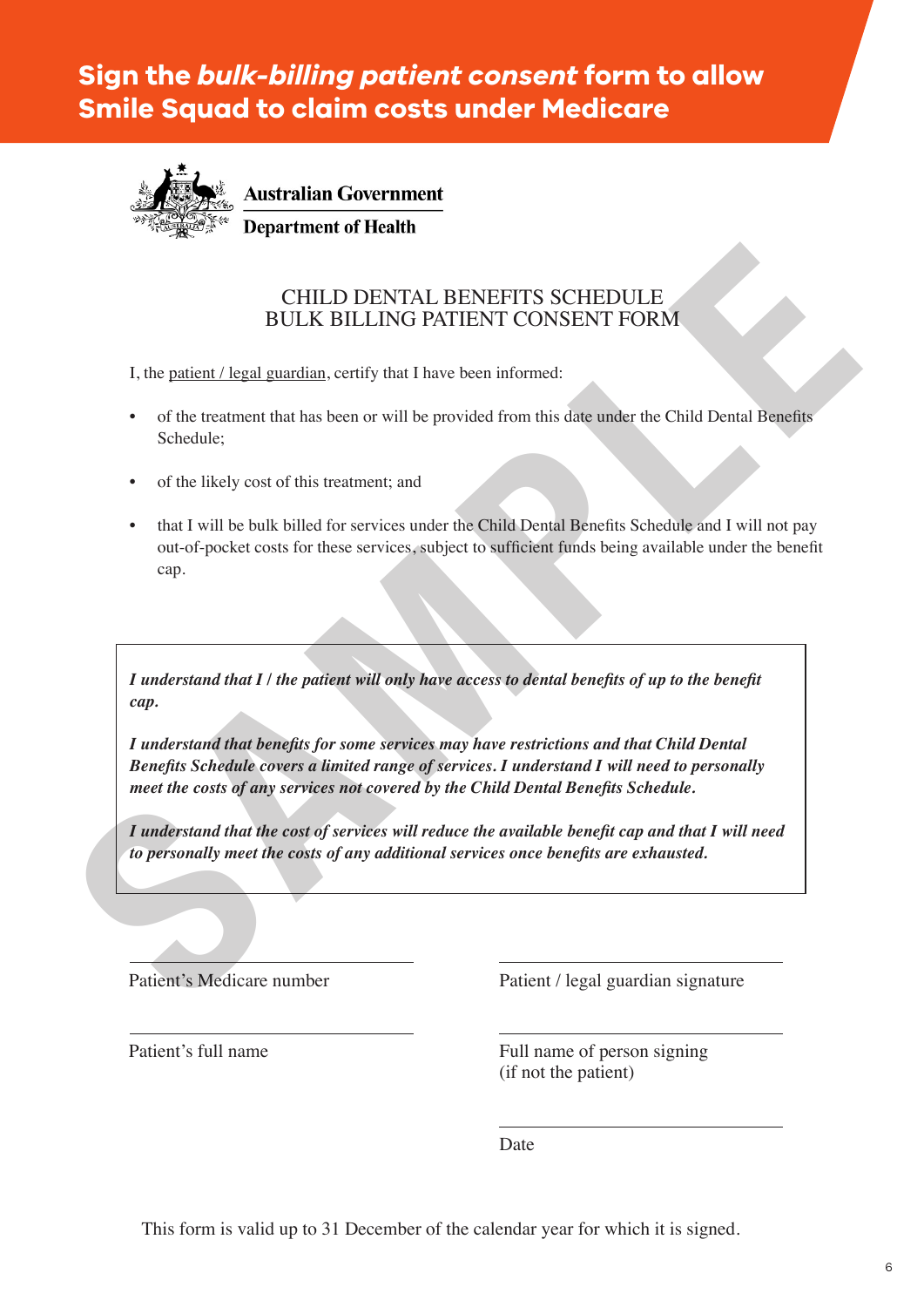### **Sign the** *bulk-billing patient consent* **form to allow Smile Squad to claim costs under Medicare**



### CHILD DENTAL BENEFITS SCHEDULE BULK BILLING PATIENT CONSENT FORM

I, the patient / legal guardian, certify that I have been informed:

- of the treatment that has been or will be provided from this date under the Child Dental Benefits Schedule;
- of the likely cost of this treatment; and
- that I will be bulk billed for services under the Child Dental Benefits Schedule and I will not pay out-of-pocket costs for these services, subject to sufficient funds being available under the benefit cap. **EXECT THE SCHEDULE BULK BILLING PATIENT SCHEDULE**<br> **EVALUATE CONSENT FORM**<br> **T**, the <u>patient *i* legal guardian,</u> certify that I have been informed:<br>
• of the treatment that has been or will be provided from this date un **SAMPLE CONSTAND BENNET ITS SCHEDULE**<br> **SAMPLE CONSTANT CONSTANT CONSTANT CONSTANT**<br> **SAMPLE CONSTANT CONSTANT FORM**<br> **SAMPLE CONSTANT**<br> **SAMPLE CONSTANT**<br> **SAMPLE CONSTANT**<br>
SAMPLE SAMPLE SAMPLE SAMPLE SAMPLE CONSTANT FOR

*I understand that I / the patient will only have access to dental benefits of up to the benefit cap.*

*I understand that benefits for some services may have restrictions and that Child Dental Benefits Schedule covers a limited range of services. I understand I will need to personally meet the costs of any services not covered by the Child Dental Benefits Schedule.*

*I understand that the cost of services will reduce the available benefit cap and that I will need* 

Patient's Medicare number

Patient / legal guardian signature

Patient's full name  $\qquad \qquad$  Full name of person signing (if not the patient)

Date

This form is valid up to 31 December of the calendar year for which it is signed.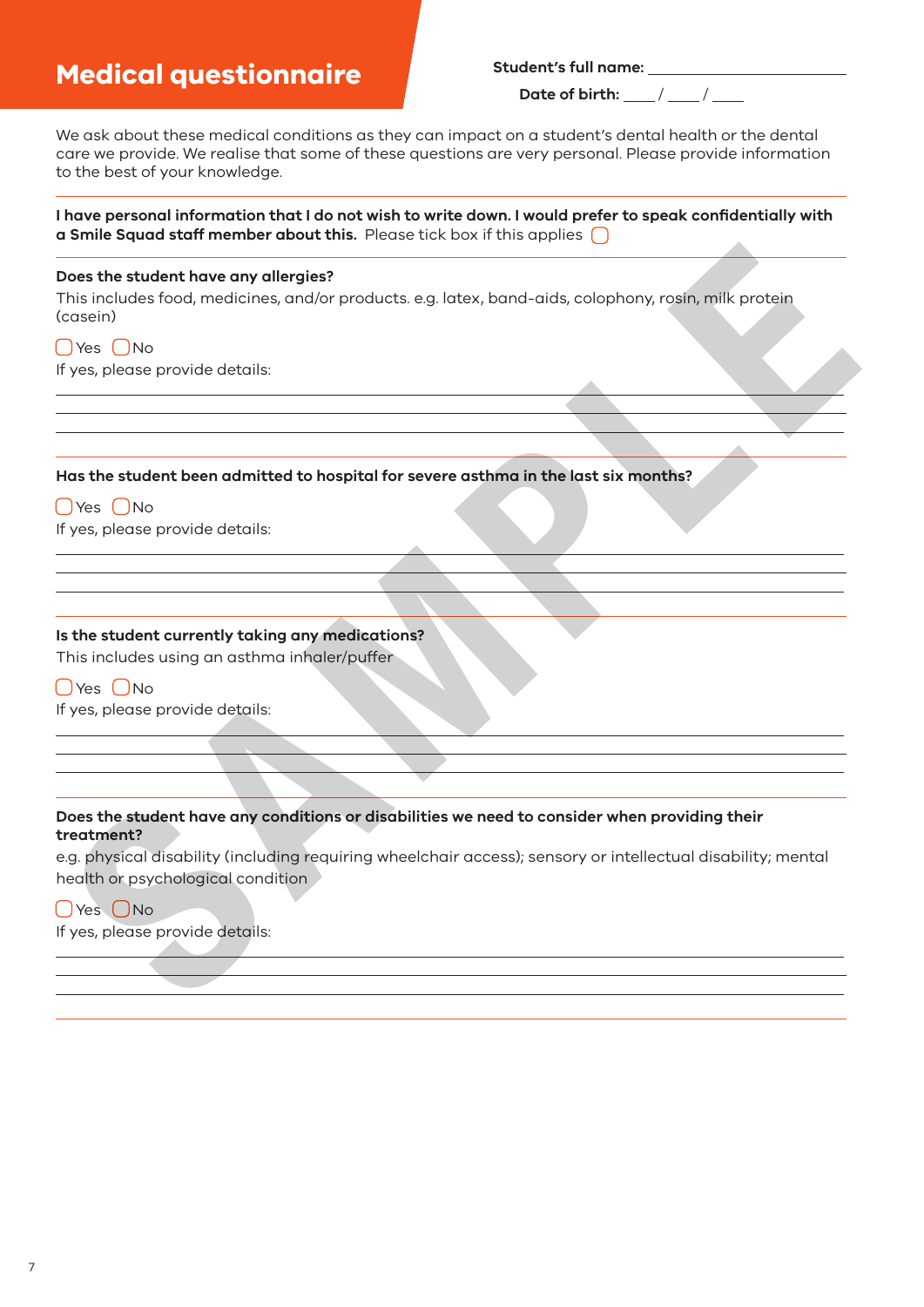### **Medical questionnaire**

**Student's full name:** 

Date of birth: <u>/ / / / / /</u>

We ask about these medical conditions as they can impact on a student's dental health or the dental care we provide. We realise that some of these questions are very personal. Please provide information to the best of your knowledge.

#### **I have personal information that I do not wish to write down. I would prefer to speak confidentially with a Smile Squad staff member about this.** Please tick box if this applies  $\bigcap$

#### **Does the student have any allergies?**

This includes food, medicines, and/or products. e.g. latex, band-aids, colophony, rosin, milk protein (casein)

| Yes | l No |
|-----|------|
|-----|------|

 $\overline{a}$  $\overline{a}$ 

 $\overline{a}$  $\overline{a}$ 

 $\overline{a}$  $\overline{a}$ 

 $\overline{a}$  $\overline{a}$ 

If yes, please provide details:

**Has the student been admitted to hospital for severe asthma in the last six months?**

 $\overline{a}$ 

 $\overline{a}$ 

∩Yes ∩No If yes, please provide details:

#### **Is the student currently taking any medications?**

This includes using an asthma inhaler/puffer

OYes ONo

If yes, please provide details:

#### **Does the student have any conditions or disabilities we need to consider when providing their treatment?**

 $\overline{a}$ 

 $\overline{a}$ 

e.g. physical disability (including requiring wheelchair access); sensory or intellectual disability; mental health or psychological condition **Shows the student have any allergies?**<br>
This includes food, medicines, and/or products. e.g. latex, band-aids, colophony, rosin, milk. protein<br>
Show yes, please provide details:<br> **SAMPLE CONSTANT CONSTANT CONSTANT OF SECU** 

### ∩Yes ∩No

If yes, please provide details: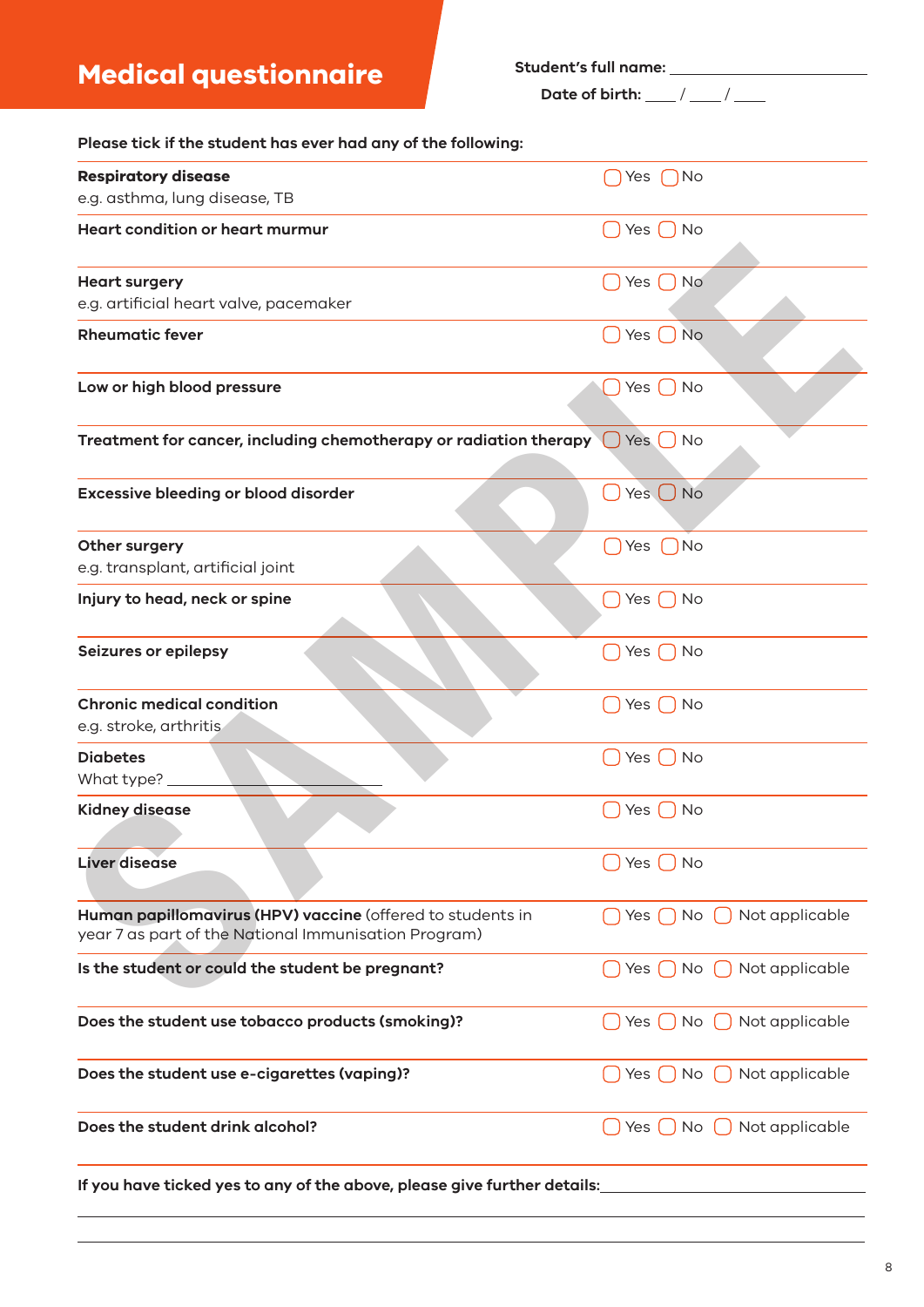| <b>Medical questionnaire</b>                                                                                       | Student's full name: _______                                |
|--------------------------------------------------------------------------------------------------------------------|-------------------------------------------------------------|
|                                                                                                                    | Date of birth: $\frac{\ }{\ }$ / $\frac{\ }{\ }$            |
| Please tick if the student has ever had any of the following:                                                      |                                                             |
| <b>Respiratory disease</b>                                                                                         | $\neg$ No<br>Yes                                            |
| e.g. asthma, lung disease, TB                                                                                      |                                                             |
| <b>Heart condition or heart murmur</b>                                                                             | Yes $\bigcap$ No                                            |
| <b>Heart surgery</b><br>e.g. artificial heart valve, pacemaker                                                     | Yes (<br>No<br>$\blacksquare$                               |
| <b>Rheumatic fever</b>                                                                                             | Yes $($<br><b>No</b>                                        |
| Low or high blood pressure                                                                                         | Yes $($<br><b>No</b>                                        |
| Treatment for cancer, including chemotherapy or radiation therapy                                                  | Yes  <br><b>No</b>                                          |
| <b>Excessive bleeding or blood disorder</b>                                                                        | Yes $\bigcup$<br><b>No</b>                                  |
| Other surgery<br>e.g. transplant, artificial joint                                                                 | Yes<br>$( )$ No                                             |
| Injury to head, neck or spine                                                                                      | Yes (<br><b>No</b>                                          |
| Seizures or epilepsy                                                                                               | Yes ( ) No                                                  |
| <b>Chronic medical condition</b><br>e.g. stroke, arthritis                                                         | Yes $\bigcap$ No                                            |
| <b>Diabetes</b><br>What type?                                                                                      | $\bigcirc$ Yes $\bigcirc$ No                                |
| <b>Kidney disease</b>                                                                                              | Yes $\bigcap$ No                                            |
| <b>Liver disease</b>                                                                                               | Yes $\bigcup$ No                                            |
| Human papillomavirus (HPV) vaccine (offered to students in<br>year 7 as part of the National Immunisation Program) | Not applicable<br>No<br>Yes                                 |
| Is the student or could the student be pregnant?                                                                   | Not applicable<br>No<br>Yes  <br>- 1                        |
| Does the student use tobacco products (smoking)?                                                                   | Yes $\bigcap$ No<br>Not applicable<br>$\Box$                |
| Does the student use e-cigarettes (vaping)?                                                                        | Not applicable<br>No<br>Yes $\begin{pmatrix} \end{pmatrix}$ |
| Does the student drink alcohol?                                                                                    | Yes $\bigcup$ No<br>Not applicable<br>$\mathbf{I}$          |
|                                                                                                                    |                                                             |

**If you have ticked yes to any of the above, please give further details:**

 $\overline{a}$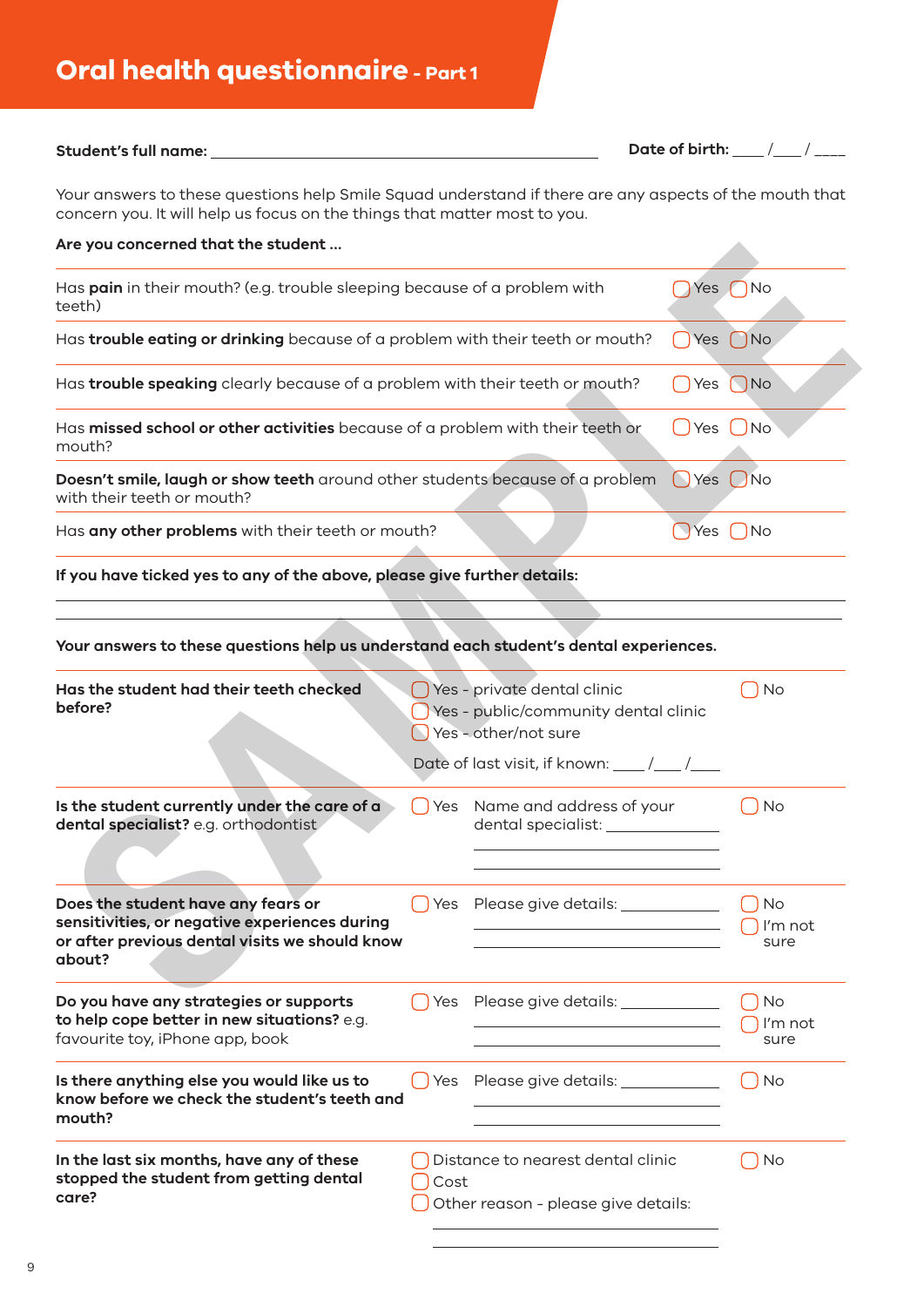## **Oral health questionnaire - Part 1**

| Student's full name: Notice that the state of the state of the state of the state of the state of the state of                                                                      |     |                                                                                             | Date of birth: $\_\_\_\_\_\_\_\_\_\_\_\_\_\_\_\_\_\_\_\_\_\_$ |
|-------------------------------------------------------------------------------------------------------------------------------------------------------------------------------------|-----|---------------------------------------------------------------------------------------------|---------------------------------------------------------------|
| Your answers to these questions help Smile Squad understand if there are any aspects of the mouth that<br>concern you. It will help us focus on the things that matter most to you. |     |                                                                                             |                                                               |
| Are you concerned that the student                                                                                                                                                  |     |                                                                                             |                                                               |
| Has pain in their mouth? (e.g. trouble sleeping because of a problem with<br>teeth)                                                                                                 |     |                                                                                             | $\bigcap$ Yes $\bigcap$<br><b>No</b>                          |
| Has <b>trouble eating or drinking</b> because of a problem with their teeth or mouth?                                                                                               |     |                                                                                             | Yes No                                                        |
| Has <b>trouble speaking</b> clearly because of a problem with their teeth or mouth?                                                                                                 |     |                                                                                             | $\bigcup$ No<br>Yes                                           |
| Has missed school or other activities because of a problem with their teeth or<br>mouth?                                                                                            |     |                                                                                             | ◯Yes ()No                                                     |
| Doesn't smile, laugh or show teeth around other students because of a problem<br>with their teeth or mouth?                                                                         |     |                                                                                             | $\bigcup$ Yes $\bigcup$ No                                    |
| Has any other problems with their teeth or mouth?                                                                                                                                   |     |                                                                                             | $\bigvee$ Yes<br>$\bigcup$ No                                 |
| If you have ticked yes to any of the above, please give further details:                                                                                                            |     |                                                                                             |                                                               |
| Your answers to these questions help us understand each student's dental experiences.<br>Has the student had their teeth checked<br>before?                                         |     | Yes - private dental clinic<br>Yes - public/community dental clinic<br>Yes - other/not sure | No                                                            |
|                                                                                                                                                                                     |     | Date of last visit, if known: ___ /___ /___                                                 |                                                               |
| Is the student currently under the care of a<br>dental specialist? e.g. orthodontist                                                                                                |     | Yes Name and address of your<br>dental specialist:                                          | No                                                            |
| Does the student have any fears or<br>sensitivities, or negative experiences during<br>or after previous dental visits we should know<br>about?                                     | Yes | Please give details: ___________                                                            | <b>No</b><br>I'm not<br>sure                                  |
| Do you have any strategies or supports<br>to help cope better in new situations? e.g.<br>favourite toy, iPhone app, book                                                            | Yes | Please give details: ____________                                                           | <b>No</b><br>I'm not<br>sure                                  |
| Is there anything else you would like us to<br>know before we check the student's teeth and<br>mouth?                                                                               | Yes | Please give details: ___________                                                            | <b>No</b>                                                     |

O Distance to nearest dental clinic

O No

Other reason - please give details:

◯ Cost

 $\overline{a}$ 

9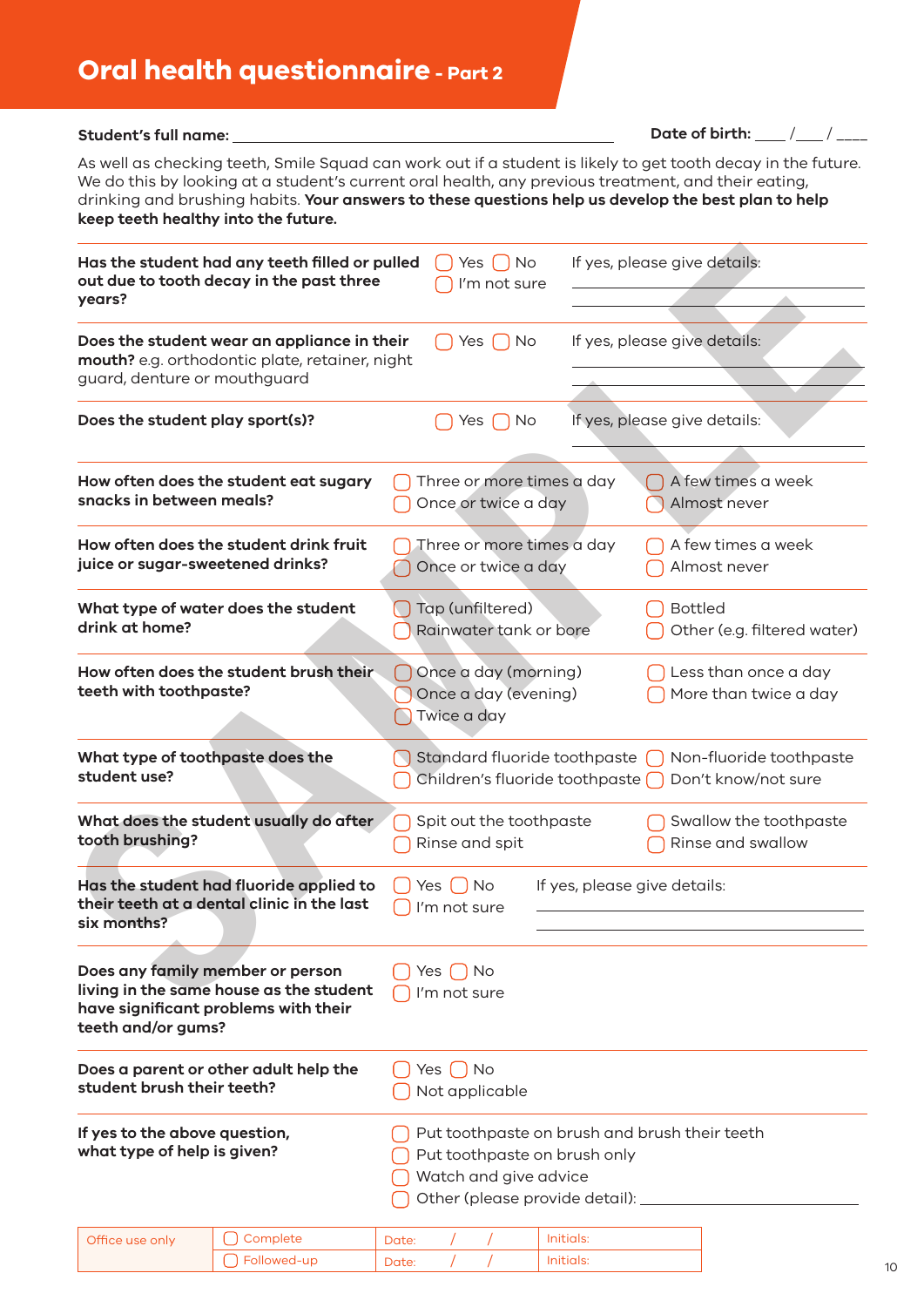### **Oral health questionnaire - Part 2**

**Student's full name: Date of birth:** / / \_\_\_\_

As well as checking teeth, Smile Squad can work out if a student is likely to get tooth decay in the future. We do this by looking at a student's current oral health, any previous treatment, and their eating, drinking and brushing habits. **Your answers to these questions help us develop the best plan to help keep teeth healthy into the future.**

| Has the student had any teeth filled or pulled<br>out due to tooth decay in the past three<br>years?                                      | If yes, please give details:<br>Yes.<br>No.<br>I'm not sure                                                                                       |
|-------------------------------------------------------------------------------------------------------------------------------------------|---------------------------------------------------------------------------------------------------------------------------------------------------|
| Does the student wear an appliance in their<br>mouth? e.g. orthodontic plate, retainer, night<br>guard, denture or mouthguard             | If yes, please give details:<br>Yes<br>No.                                                                                                        |
| Does the student play sport(s)?                                                                                                           | If yes, please give details:<br>Yes $\bigcap$ No                                                                                                  |
| How often does the student eat sugary<br>snacks in between meals?                                                                         | A few times a week<br>Three or more times a day<br>Once or twice a day<br>Almost never                                                            |
| How often does the student drink fruit<br>juice or sugar-sweetened drinks?                                                                | Three or more times a day<br>A few times a week<br>Once or twice a day<br>Almost never                                                            |
| What type of water does the student<br>drink at home?                                                                                     | Tap (unfiltered)<br><b>Bottled</b><br>Rainwater tank or bore<br>Other (e.g. filtered water)                                                       |
| How often does the student brush their<br>teeth with toothpaste?                                                                          | Once a day (morning)<br>Less than once a day<br>Once a day (evening)<br>More than twice a day<br>Twice a day                                      |
| What type of toothpaste does the<br>student use?                                                                                          | Standard fluoride toothpaste<br>Non-fluoride toothpaste<br>Don't know/not sure<br>Children's fluoride toothpaste                                  |
| What does the student usually do after<br>tooth brushing?                                                                                 | Spit out the toothpaste<br>Swallow the toothpaste<br>Rinse and spit<br>Rinse and swallow                                                          |
| Has the student had fluoride applied to<br>their teeth at a dental clinic in the last<br>six months?                                      | If yes, please give details:<br>Yes   No<br>I'm not sure                                                                                          |
| Does any family member or person<br>living in the same house as the student<br>have significant problems with their<br>teeth and/or gums? | Yes   No<br>I'm not sure                                                                                                                          |
| Does a parent or other adult help the<br>student brush their teeth?                                                                       | Yes   No<br>Not applicable                                                                                                                        |
| If yes to the above question,<br>what type of help is given?                                                                              | Put toothpaste on brush and brush their teeth<br>Put toothpaste on brush only<br>Watch and give advice<br>Other (please provide detail): ________ |
| Complete<br>Office use only                                                                                                               | Initials:<br>Date:                                                                                                                                |

Followed-up Date: / / Initials: